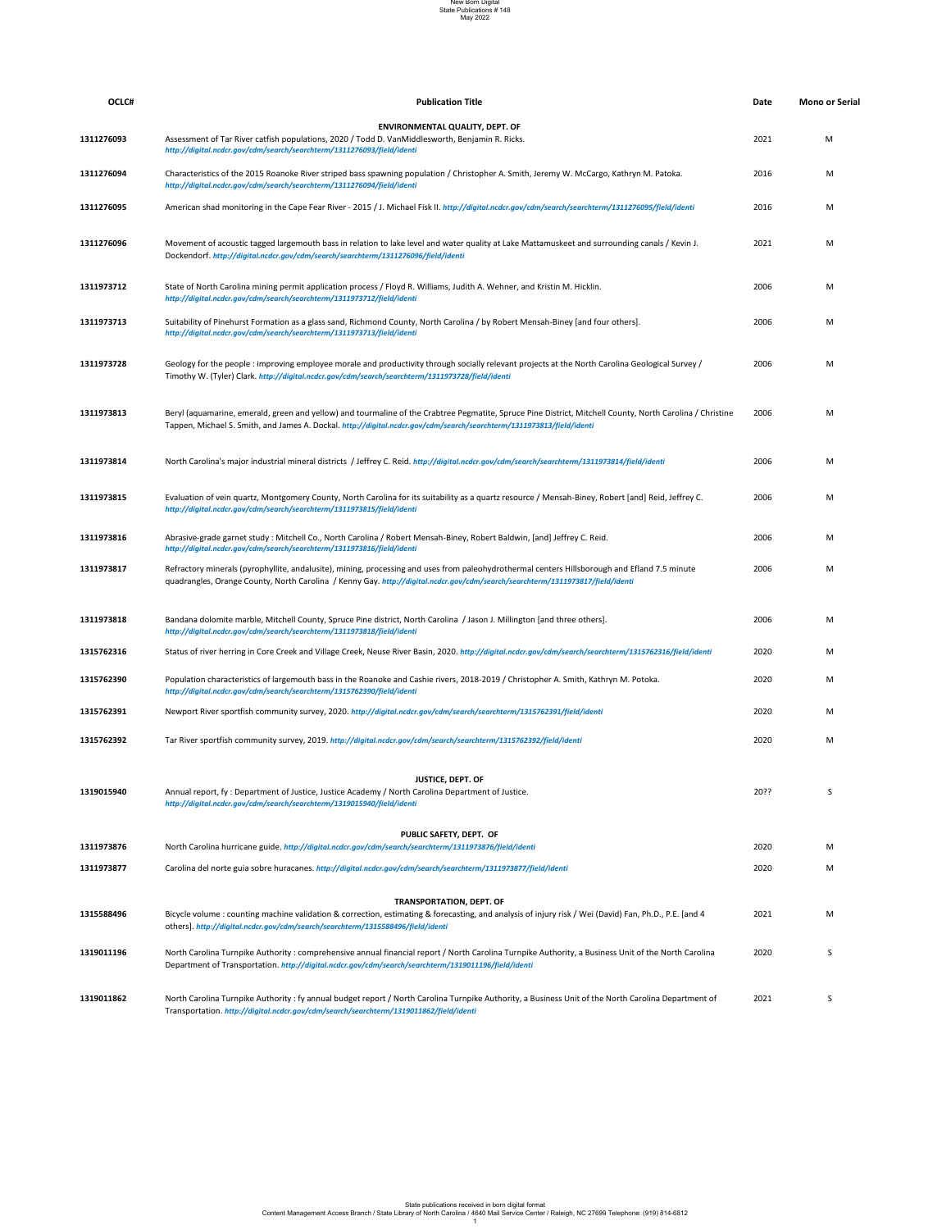| OCLC#      | <b>Publication Title</b>                                                                                                                                                                                                                                                           | Date | <b>Mono or Serial</b> |
|------------|------------------------------------------------------------------------------------------------------------------------------------------------------------------------------------------------------------------------------------------------------------------------------------|------|-----------------------|
| 1311276093 | <b>ENVIRONMENTAL QUALITY, DEPT. OF</b><br>Assessment of Tar River catfish populations, 2020 / Todd D. VanMiddlesworth, Benjamin R. Ricks.<br>http://digital.ncdcr.gov/cdm/search/searchterm/1311276093/field/identi                                                                | 2021 | M                     |
| 1311276094 | Characteristics of the 2015 Roanoke River striped bass spawning population / Christopher A. Smith, Jeremy W. McCargo, Kathryn M. Patoka.<br>http://digital.ncdcr.gov/cdm/search/searchterm/1311276094/field/identi                                                                 | 2016 | M                     |
| 1311276095 | American shad monitoring in the Cape Fear River - 2015 / J. Michael Fisk II. http://digital.ncdcr.gov/cdm/search/searchterm/1311276095/field/identi                                                                                                                                | 2016 | M                     |
| 1311276096 | Movement of acoustic tagged largemouth bass in relation to lake level and water quality at Lake Mattamuskeet and surrounding canals / Kevin J.<br>Dockendorf. http://digital.ncdcr.gov/cdm/search/searchterm/1311276096/field/identi                                               | 2021 | M                     |
| 1311973712 | State of North Carolina mining permit application process / Floyd R. Williams, Judith A. Wehner, and Kristin M. Hicklin.<br>http://digital.ncdcr.gov/cdm/search/searchterm/1311973712/field/identi                                                                                 | 2006 | M                     |
| 1311973713 | Suitability of Pinehurst Formation as a glass sand, Richmond County, North Carolina / by Robert Mensah-Biney [and four others].<br>http://digital.ncdcr.gov/cdm/search/searchterm/1311973713/field/identi                                                                          | 2006 | M                     |
| 1311973728 | Geology for the people : improving employee morale and productivity through socially relevant projects at the North Carolina Geological Survey /<br>Timothy W. (Tyler) Clark. http://digital.ncdcr.gov/cdm/search/searchterm/1311973728/field/identi                               | 2006 | M                     |
| 1311973813 | Beryl (aquamarine, emerald, green and yellow) and tourmaline of the Crabtree Pegmatite, Spruce Pine District, Mitchell County, North Carolina / Christine<br>Tappen, Michael S. Smith, and James A. Dockal. http://digital.ncdcr.gov/cdm/search/searchterm/1311973813/field/identi | 2006 | M                     |
| 1311973814 | North Carolina's major industrial mineral districts / Jeffrey C. Reid. http://digital.ncdcr.gov/cdm/search/searchterm/1311973814/field/identi                                                                                                                                      | 2006 | м                     |
| 1311973815 | Evaluation of vein quartz, Montgomery County, North Carolina for its suitability as a quartz resource / Mensah-Biney, Robert [and] Reid, Jeffrey C.<br>http://digital.ncdcr.gov/cdm/search/searchterm/1311973815/field/identi                                                      | 2006 | M                     |
| 1311973816 | Abrasive-grade garnet study: Mitchell Co., North Carolina / Robert Mensah-Biney, Robert Baldwin, [and] Jeffrey C. Reid.<br>http://digital.ncdcr.gov/cdm/search/searchterm/1311973816/field/identi                                                                                  | 2006 | M                     |
| 1311973817 | Refractory minerals (pyrophyllite, andalusite), mining, processing and uses from paleohydrothermal centers Hillsborough and Efland 7.5 minute<br>quadrangles, Orange County, North Carolina / Kenny Gay. http://digital.ncdcr.gov/cdm/search/searchterm/1311973817/field/identi    | 2006 | M                     |
| 1311973818 | Bandana dolomite marble, Mitchell County, Spruce Pine district, North Carolina / Jason J. Millington [and three others].<br>http://digital.ncdcr.gov/cdm/search/searchterm/1311973818/field/identi                                                                                 | 2006 | М                     |
| 1315762316 | Status of river herring in Core Creek and Village Creek, Neuse River Basin, 2020. http://digital.ncdcr.gov/cdm/search/searchterm/1315762316/field/identi                                                                                                                           | 2020 | M                     |
| 1315762390 | Population characteristics of largemouth bass in the Roanoke and Cashie rivers, 2018-2019 / Christopher A. Smith, Kathryn M. Potoka.<br>http://digital.ncdcr.gov/cdm/search/searchterm/1315762390/field/identi                                                                     | 2020 | M                     |
| 1315762391 | Newport River sportfish community survey, 2020. http://digital.ncdcr.gov/cdm/search/searchterm/1315762391/field/identi                                                                                                                                                             | 2020 | M                     |
|            |                                                                                                                                                                                                                                                                                    |      |                       |

| 1315762392 | Tar River sportfish community survey, 2019. http://digital.ncdcr.gov/cdm/search/searchterm/1315762392/field/identi                                                                                                                                          | 2020 | M |
|------------|-------------------------------------------------------------------------------------------------------------------------------------------------------------------------------------------------------------------------------------------------------------|------|---|
| 1319015940 | <b>JUSTICE, DEPT. OF</b><br>Annual report, fy: Department of Justice, Justice Academy / North Carolina Department of Justice.<br>http://digital.ncdcr.gov/cdm/search/searchterm/1319015940/field/identi                                                     | 20?? |   |
|            | PUBLIC SAFETY, DEPT. OF                                                                                                                                                                                                                                     |      |   |
| 1311973876 | North Carolina hurricane guide. http://digital.ncdcr.gov/cdm/search/searchterm/1311973876/field/identi                                                                                                                                                      | 2020 | M |
| 1311973877 | Carolina del norte guia sobre huracanes. http://digital.ncdcr.gov/cdm/search/searchterm/1311973877/field/identi                                                                                                                                             | 2020 | M |
| 1315588496 | <b>TRANSPORTATION, DEPT. OF</b><br>Bicycle volume: counting machine validation & correction, estimating & forecasting, and analysis of injury risk / Wei (David) Fan, Ph.D., P.E. [and 4                                                                    | 2021 | M |
|            | others]. http://digital.ncdcr.gov/cdm/search/searchterm/1315588496/field/identi                                                                                                                                                                             |      |   |
| 1319011196 | North Carolina Turnpike Authority: comprehensive annual financial report / North Carolina Turnpike Authority, a Business Unit of the North Carolina<br>Department of Transportation. http://digital.ncdcr.gov/cdm/search/searchterm/1319011196/field/identi | 2020 | S |
| 1319011862 | North Carolina Turnpike Authority: fy annual budget report / North Carolina Turnpike Authority, a Business Unit of the North Carolina Department of<br>Transportation. http://digital.ncdcr.gov/cdm/search/searchterm/1319011862/field/identi               | 2021 | S |

## New Born Digital State Publications # 148 May 2022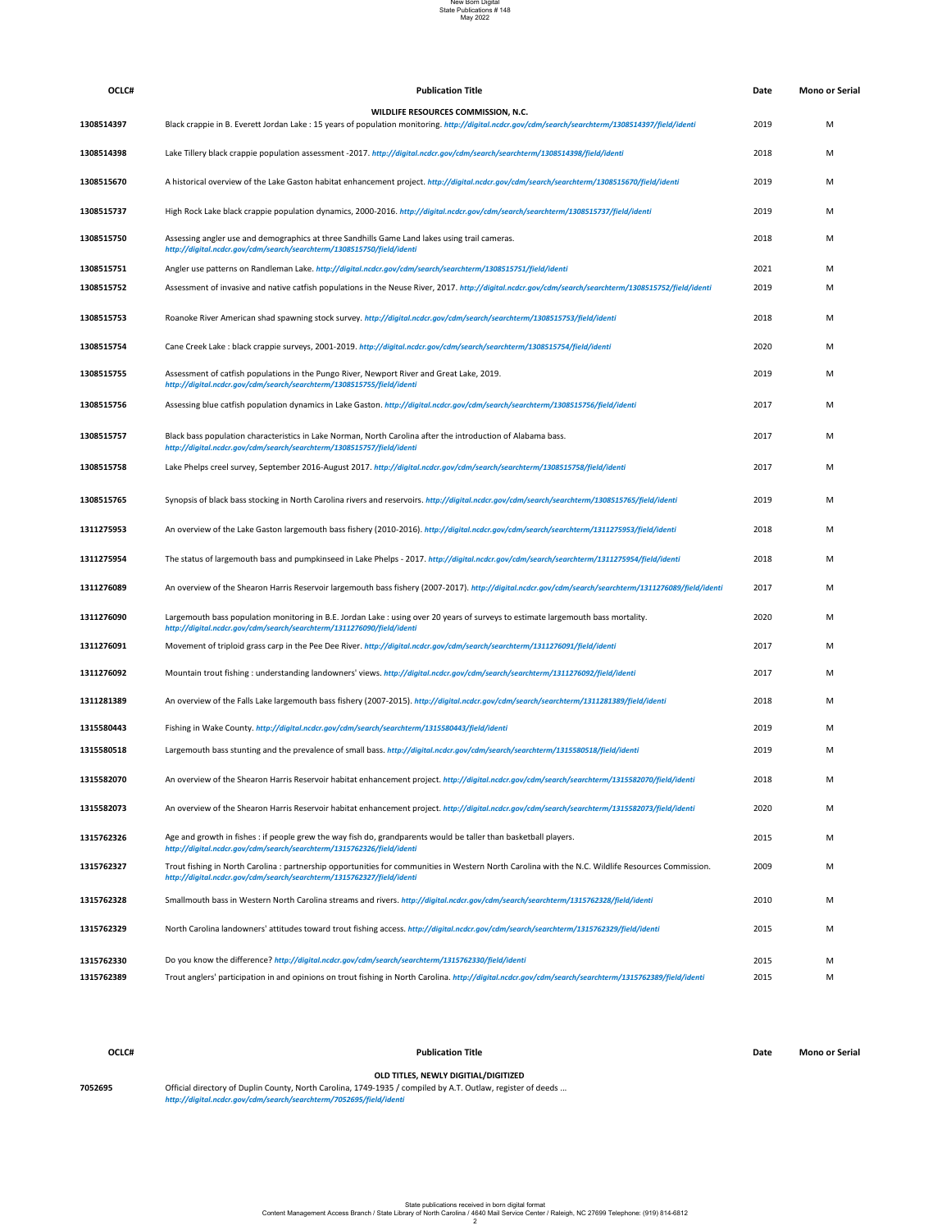| OCLC#   | <b>Publication Title</b>                                                                                                                                                                                                          | <b>Date</b> | Mono or Serial |
|---------|-----------------------------------------------------------------------------------------------------------------------------------------------------------------------------------------------------------------------------------|-------------|----------------|
| 7052695 | <b>OLD TITLES, NEWLY DIGITIAL/DIGITIZED</b><br>Official directory of Duplin County, North Carolina, 1749-1935 / compiled by A.T. Outlaw, register of deeds<br>http://digital.ncdcr.gov/cdm/search/searchterm/7052695/field/identi |             |                |

| OCLC#      | <b>Publication Title</b>                                                                                                                                                                                                    | Date | <b>Mono or Serial</b> |
|------------|-----------------------------------------------------------------------------------------------------------------------------------------------------------------------------------------------------------------------------|------|-----------------------|
|            | WILDLIFE RESOURCES COMMISSION, N.C.                                                                                                                                                                                         |      |                       |
| 1308514397 | Black crappie in B. Everett Jordan Lake : 15 years of population monitoring. http://digital.ncdcr.gov/cdm/search/searchterm/1308514397/field/identi                                                                         | 2019 | M                     |
| 1308514398 | Lake Tillery black crappie population assessment -2017. http://digital.ncdcr.gov/cdm/search/searchterm/1308514398/field/identi                                                                                              | 2018 | M                     |
| 1308515670 | A historical overview of the Lake Gaston habitat enhancement project. http://digital.ncdcr.gov/cdm/search/searchterm/1308515670/field/identi                                                                                | 2019 | M                     |
| 1308515737 | High Rock Lake black crappie population dynamics, 2000-2016. http://digital.ncdcr.gov/cdm/search/searchterm/1308515737/field/identi                                                                                         | 2019 | M                     |
| 1308515750 | Assessing angler use and demographics at three Sandhills Game Land lakes using trail cameras.<br>http://digital.ncdcr.gov/cdm/search/searchterm/1308515750/field/identi                                                     | 2018 | M                     |
| 1308515751 | Angler use patterns on Randleman Lake. http://digital.ncdcr.gov/cdm/search/searchterm/1308515751/field/identi                                                                                                               | 2021 | M                     |
| 1308515752 | Assessment of invasive and native catfish populations in the Neuse River, 2017. http://digital.ncdcr.gov/cdm/search/searchterm/1308515752/field/identi                                                                      | 2019 | M                     |
| 1308515753 | Roanoke River American shad spawning stock survey. http://digital.ncdcr.gov/cdm/search/searchterm/1308515753/field/identi                                                                                                   | 2018 | M                     |
| 1308515754 | Cane Creek Lake: black crappie surveys, 2001-2019. http://digital.ncdcr.gov/cdm/search/searchterm/1308515754/field/identi                                                                                                   | 2020 | M                     |
| 1308515755 | Assessment of catfish populations in the Pungo River, Newport River and Great Lake, 2019.<br>http://digital.ncdcr.gov/cdm/search/searchterm/1308515755/field/identi                                                         | 2019 | M                     |
| 1308515756 | Assessing blue catfish population dynamics in Lake Gaston. http://digital.ncdcr.gov/cdm/search/searchterm/1308515756/field/identi                                                                                           | 2017 | M                     |
| 1308515757 | Black bass population characteristics in Lake Norman, North Carolina after the introduction of Alabama bass.<br>http://digital.ncdcr.gov/cdm/search/searchterm/1308515757/field/identi                                      | 2017 | M                     |
| 1308515758 | Lake Phelps creel survey, September 2016-August 2017. http://digital.ncdcr.gov/cdm/search/searchterm/1308515758/field/identi                                                                                                | 2017 | M                     |
| 1308515765 | Synopsis of black bass stocking in North Carolina rivers and reservoirs. http://digital.ncdcr.gov/cdm/search/searchterm/1308515765/field/identi                                                                             | 2019 | M                     |
| 1311275953 | An overview of the Lake Gaston largemouth bass fishery (2010-2016). http://digital.ncdcr.gov/cdm/search/searchterm/1311275953/field/identi                                                                                  | 2018 | M                     |
| 1311275954 | The status of largemouth bass and pumpkinseed in Lake Phelps - 2017. http://digital.ncdcr.gov/cdm/search/searchterm/1311275954/field/identi                                                                                 | 2018 | M                     |
| 1311276089 | An overview of the Shearon Harris Reservoir largemouth bass fishery (2007-2017). http://digital.ncdcr.gov/cdm/search/searchterm/1311276089/field/identi                                                                     | 2017 | M                     |
| 1311276090 | Largemouth bass population monitoring in B.E. Jordan Lake : using over 20 years of surveys to estimate largemouth bass mortality.<br>http://digital.ncdcr.gov/cdm/search/searchterm/1311276090/field/identi                 | 2020 | M                     |
| 1311276091 | Movement of triploid grass carp in the Pee Dee River. http://digital.ncdcr.gov/cdm/search/searchterm/1311276091/field/identi                                                                                                | 2017 | M                     |
| 1311276092 | Mountain trout fishing : understanding landowners' views. http://digital.ncdcr.gov/cdm/search/searchterm/1311276092/field/identi                                                                                            | 2017 | M                     |
| 1311281389 | An overview of the Falls Lake largemouth bass fishery (2007-2015). http://digital.ncdcr.gov/cdm/search/searchterm/1311281389/field/identi                                                                                   | 2018 | M                     |
| 1315580443 | Fishing in Wake County. http://digital.ncdcr.gov/cdm/search/searchterm/1315580443/field/identi                                                                                                                              | 2019 | M                     |
| 1315580518 | Largemouth bass stunting and the prevalence of small bass. http://digital.ncdcr.gov/cdm/search/searchterm/1315580518/field/identi                                                                                           | 2019 | M                     |
| 1315582070 | An overview of the Shearon Harris Reservoir habitat enhancement project. http://digital.ncdcr.gov/cdm/search/searchterm/1315582070/field/identi                                                                             | 2018 | M                     |
| 1315582073 | An overview of the Shearon Harris Reservoir habitat enhancement project. http://digital.ncdcr.gov/cdm/search/searchterm/1315582073/field/identi                                                                             | 2020 | M                     |
| 1315762326 | Age and growth in fishes : if people grew the way fish do, grandparents would be taller than basketball players.<br>http://digital.ncdcr.gov/cdm/search/searchterm/1315762326/field/identi                                  | 2015 | M                     |
| 1315762327 | Trout fishing in North Carolina: partnership opportunities for communities in Western North Carolina with the N.C. Wildlife Resources Commission.<br>http://digital.ncdcr.gov/cdm/search/searchterm/1315762327/field/identi | 2009 | M                     |
| 1315762328 | Smallmouth bass in Western North Carolina streams and rivers. http://digital.ncdcr.gov/cdm/search/searchterm/1315762328/field/identi                                                                                        | 2010 | M                     |
| 1315762329 | North Carolina landowners' attitudes toward trout fishing access. http://digital.ncdcr.gov/cdm/search/searchterm/1315762329/field/identi                                                                                    | 2015 | M                     |
| 1315762330 | Do you know the difference? http://digital.ncdcr.gov/cdm/search/searchterm/1315762330/field/identi                                                                                                                          | 2015 | М                     |
| 1315762389 | Trout anglers' participation in and opinions on trout fishing in North Carolina. http://digital.ncdcr.gov/cdm/search/searchterm/1315762389/field/identi                                                                     | 2015 | M                     |
|            |                                                                                                                                                                                                                             |      |                       |

## New Born Digital State Publications # 148 May 2022